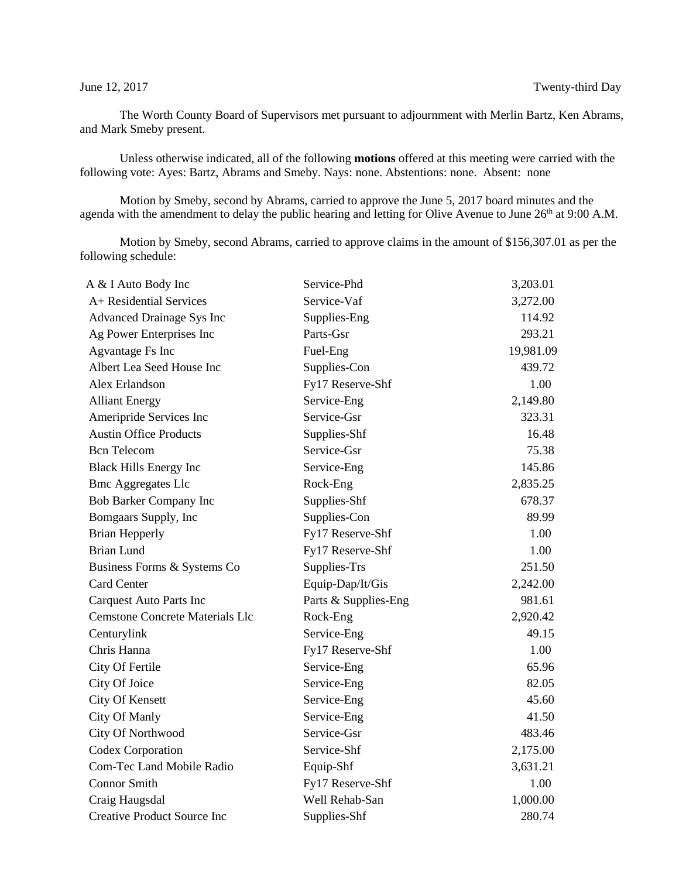The Worth County Board of Supervisors met pursuant to adjournment with Merlin Bartz, Ken Abrams, and Mark Smeby present.

Unless otherwise indicated, all of the following **motions** offered at this meeting were carried with the following vote: Ayes: Bartz, Abrams and Smeby. Nays: none. Abstentions: none. Absent: none

Motion by Smeby, second by Abrams, carried to approve the June 5, 2017 board minutes and the agenda with the amendment to delay the public hearing and letting for Olive Avenue to June 26<sup>th</sup> at 9:00 A.M.

Motion by Smeby, second Abrams, carried to approve claims in the amount of \$156,307.01 as per the following schedule:

| A & I Auto Body Inc                    | Service-Phd          | 3,203.01  |
|----------------------------------------|----------------------|-----------|
| A+ Residential Services                | Service-Vaf          | 3,272.00  |
| Advanced Drainage Sys Inc              | Supplies-Eng         | 114.92    |
| Ag Power Enterprises Inc               | Parts-Gsr            | 293.21    |
| Agvantage Fs Inc                       | Fuel-Eng             | 19,981.09 |
| Albert Lea Seed House Inc              | Supplies-Con         | 439.72    |
| Alex Erlandson                         | Fy17 Reserve-Shf     | 1.00      |
| <b>Alliant Energy</b>                  | Service-Eng          | 2,149.80  |
| Ameripride Services Inc                | Service-Gsr          | 323.31    |
| <b>Austin Office Products</b>          | Supplies-Shf         | 16.48     |
| <b>Bcn</b> Telecom                     | Service-Gsr          | 75.38     |
| <b>Black Hills Energy Inc</b>          | Service-Eng          | 145.86    |
| <b>Bmc Aggregates Llc</b>              | Rock-Eng             | 2,835.25  |
| <b>Bob Barker Company Inc</b>          | Supplies-Shf         | 678.37    |
| Bomgaars Supply, Inc                   | Supplies-Con         | 89.99     |
| <b>Brian Hepperly</b>                  | Fy17 Reserve-Shf     | 1.00      |
| <b>Brian Lund</b>                      | Fy17 Reserve-Shf     | 1.00      |
| Business Forms & Systems Co            | Supplies-Trs         | 251.50    |
| <b>Card Center</b>                     | Equip-Dap/It/Gis     | 2,242.00  |
| <b>Carquest Auto Parts Inc</b>         | Parts & Supplies-Eng | 981.61    |
| <b>Cemstone Concrete Materials Llc</b> | Rock-Eng             | 2,920.42  |
| Centurylink                            | Service-Eng          | 49.15     |
| Chris Hanna                            | Fy17 Reserve-Shf     | 1.00      |
| City Of Fertile                        | Service-Eng          | 65.96     |
| City Of Joice                          | Service-Eng          | 82.05     |
| <b>City Of Kensett</b>                 | Service-Eng          | 45.60     |
| City Of Manly                          | Service-Eng          | 41.50     |
| City Of Northwood                      | Service-Gsr          | 483.46    |
| Codex Corporation                      | Service-Shf          | 2,175.00  |
| Com-Tec Land Mobile Radio              | Equip-Shf            | 3,631.21  |
| <b>Connor Smith</b>                    | Fy17 Reserve-Shf     | 1.00      |
| Craig Haugsdal                         | Well Rehab-San       | 1,000.00  |
| <b>Creative Product Source Inc</b>     | Supplies-Shf         | 280.74    |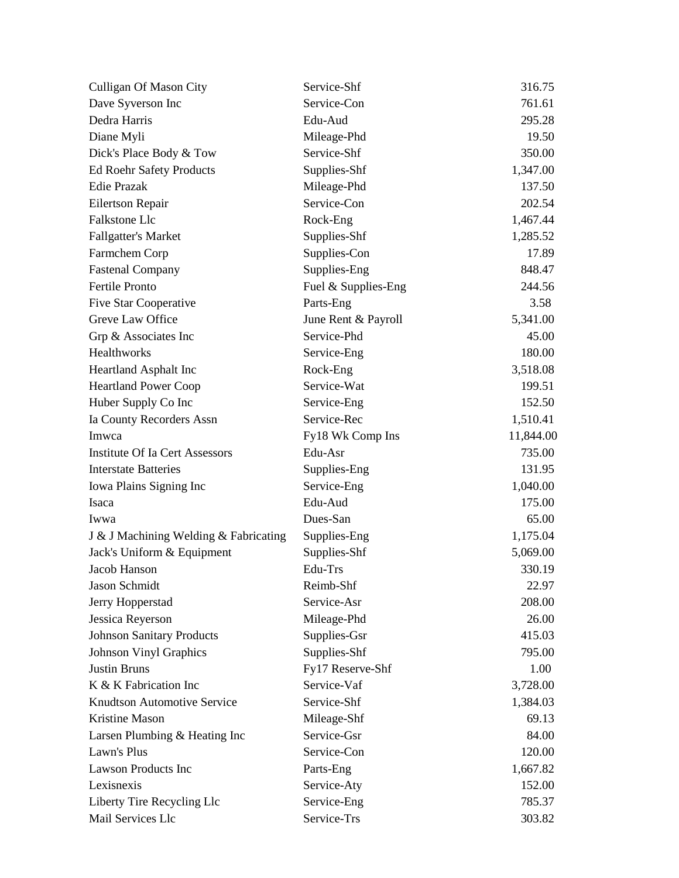| <b>Culligan Of Mason City</b>         | Service-Shf         | 316.75    |
|---------------------------------------|---------------------|-----------|
| Dave Syverson Inc                     | Service-Con         | 761.61    |
| Dedra Harris                          | Edu-Aud             | 295.28    |
| Diane Myli                            | Mileage-Phd         | 19.50     |
| Dick's Place Body & Tow               | Service-Shf         | 350.00    |
| <b>Ed Roehr Safety Products</b>       | Supplies-Shf        | 1,347.00  |
| <b>Edie Prazak</b>                    | Mileage-Phd         | 137.50    |
| Eilertson Repair                      | Service-Con         | 202.54    |
| Falkstone Llc                         | Rock-Eng            | 1,467.44  |
| <b>Fallgatter's Market</b>            | Supplies-Shf        | 1,285.52  |
| Farmchem Corp                         | Supplies-Con        | 17.89     |
| <b>Fastenal Company</b>               | Supplies-Eng        | 848.47    |
| Fertile Pronto                        | Fuel & Supplies-Eng | 244.56    |
| Five Star Cooperative                 | Parts-Eng           | 3.58      |
| Greve Law Office                      | June Rent & Payroll | 5,341.00  |
| Grp & Associates Inc                  | Service-Phd         | 45.00     |
| Healthworks                           | Service-Eng         | 180.00    |
| Heartland Asphalt Inc                 | Rock-Eng            | 3,518.08  |
| <b>Heartland Power Coop</b>           | Service-Wat         | 199.51    |
| Huber Supply Co Inc                   | Service-Eng         | 152.50    |
| Ia County Recorders Assn              | Service-Rec         | 1,510.41  |
| Imwca                                 | Fy18 Wk Comp Ins    | 11,844.00 |
| <b>Institute Of Ia Cert Assessors</b> | Edu-Asr             | 735.00    |
| <b>Interstate Batteries</b>           | Supplies-Eng        | 131.95    |
| Iowa Plains Signing Inc               | Service-Eng         | 1,040.00  |
| Isaca                                 | Edu-Aud             | 175.00    |
| Iwwa                                  | Dues-San            | 65.00     |
| J & J Machining Welding & Fabricating | Supplies-Eng        | 1,175.04  |
| Jack's Uniform & Equipment            | Supplies-Shf        | 5,069.00  |
| Jacob Hanson                          | Edu-Trs             | 330.19    |
| Jason Schmidt                         | Reimb-Shf           | 22.97     |
| Jerry Hopperstad                      | Service-Asr         | 208.00    |
| Jessica Reyerson                      | Mileage-Phd         | 26.00     |
| <b>Johnson Sanitary Products</b>      | Supplies-Gsr        | 415.03    |
| <b>Johnson Vinyl Graphics</b>         | Supplies-Shf        | 795.00    |
| <b>Justin Bruns</b>                   | Fy17 Reserve-Shf    | 1.00      |
| K & K Fabrication Inc                 | Service-Vaf         | 3,728.00  |
| <b>Knudtson Automotive Service</b>    | Service-Shf         | 1,384.03  |
| Kristine Mason                        | Mileage-Shf         | 69.13     |
| Larsen Plumbing & Heating Inc         | Service-Gsr         | 84.00     |
| Lawn's Plus                           | Service-Con         | 120.00    |
| <b>Lawson Products Inc</b>            | Parts-Eng           | 1,667.82  |
| Lexisnexis                            | Service-Aty         | 152.00    |
| Liberty Tire Recycling Llc            | Service-Eng         | 785.37    |
| Mail Services Llc                     | Service-Trs         | 303.82    |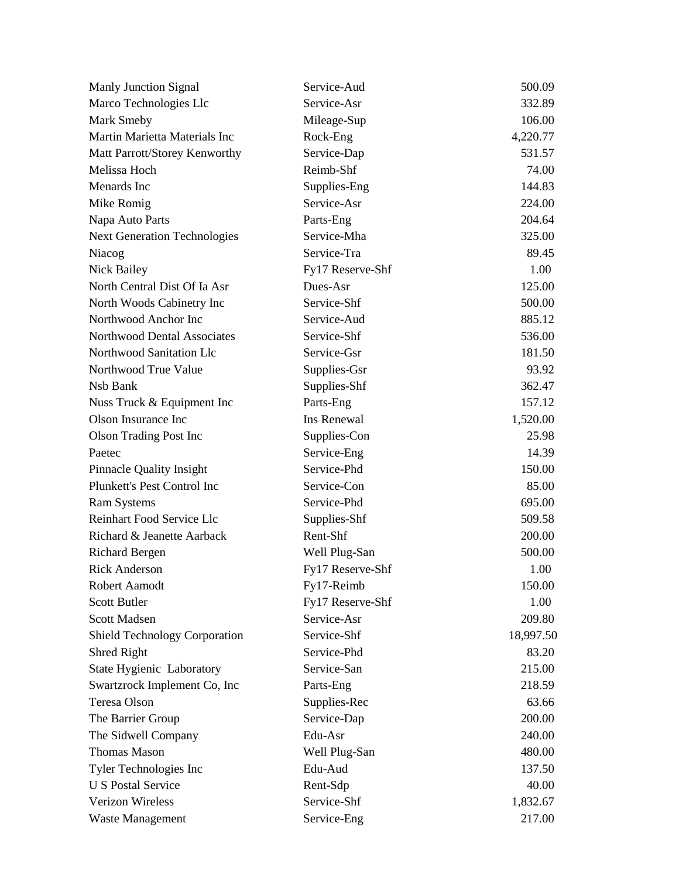| Manly Junction Signal                | Service-Aud      | 500.09    |
|--------------------------------------|------------------|-----------|
| Marco Technologies Llc               | Service-Asr      | 332.89    |
| <b>Mark Smeby</b>                    | Mileage-Sup      | 106.00    |
| Martin Marietta Materials Inc        | Rock-Eng         | 4,220.77  |
| Matt Parrott/Storey Kenworthy        | Service-Dap      | 531.57    |
| Melissa Hoch                         | Reimb-Shf        | 74.00     |
| Menards Inc                          | Supplies-Eng     | 144.83    |
| Mike Romig                           | Service-Asr      | 224.00    |
| Napa Auto Parts                      | Parts-Eng        | 204.64    |
| <b>Next Generation Technologies</b>  | Service-Mha      | 325.00    |
| Niacog                               | Service-Tra      | 89.45     |
| Nick Bailey                          | Fy17 Reserve-Shf | 1.00      |
| North Central Dist Of Ia Asr         | Dues-Asr         | 125.00    |
| North Woods Cabinetry Inc            | Service-Shf      | 500.00    |
| Northwood Anchor Inc                 | Service-Aud      | 885.12    |
| Northwood Dental Associates          | Service-Shf      | 536.00    |
| Northwood Sanitation Llc             | Service-Gsr      | 181.50    |
| Northwood True Value                 | Supplies-Gsr     | 93.92     |
| Nsb Bank                             | Supplies-Shf     | 362.47    |
| Nuss Truck & Equipment Inc           | Parts-Eng        | 157.12    |
| Olson Insurance Inc                  | Ins Renewal      | 1,520.00  |
| <b>Olson Trading Post Inc</b>        | Supplies-Con     | 25.98     |
| Paetec                               | Service-Eng      | 14.39     |
| Pinnacle Quality Insight             | Service-Phd      | 150.00    |
| Plunkett's Pest Control Inc          | Service-Con      | 85.00     |
| <b>Ram Systems</b>                   | Service-Phd      | 695.00    |
| Reinhart Food Service Llc            | Supplies-Shf     | 509.58    |
| Richard & Jeanette Aarback           | Rent-Shf         | 200.00    |
| <b>Richard Bergen</b>                | Well Plug-San    | 500.00    |
| <b>Rick Anderson</b>                 | Fy17 Reserve-Shf | 1.00      |
| Robert Aamodt                        | Fy17-Reimb       | 150.00    |
| Scott Butler                         | Fy17 Reserve-Shf | 1.00      |
| Scott Madsen                         | Service-Asr      | 209.80    |
| <b>Shield Technology Corporation</b> | Service-Shf      | 18,997.50 |
| Shred Right                          | Service-Phd      | 83.20     |
| State Hygienic Laboratory            | Service-San      | 215.00    |
| Swartzrock Implement Co, Inc         | Parts-Eng        | 218.59    |
| Teresa Olson                         | Supplies-Rec     | 63.66     |
| The Barrier Group                    | Service-Dap      | 200.00    |
| The Sidwell Company                  | Edu-Asr          | 240.00    |
| <b>Thomas Mason</b>                  | Well Plug-San    | 480.00    |
| Tyler Technologies Inc               | Edu-Aud          | 137.50    |
| <b>U S Postal Service</b>            | Rent-Sdp         | 40.00     |
| Verizon Wireless                     | Service-Shf      | 1,832.67  |
| Waste Management                     | Service-Eng      | 217.00    |